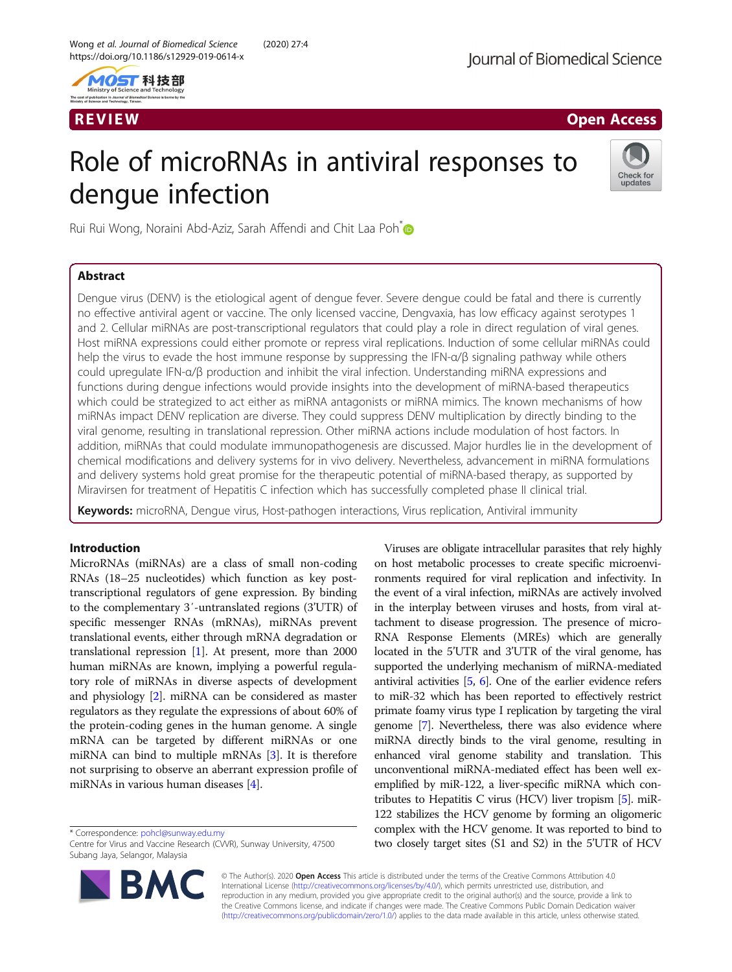

R EVI EW Open Access

# Role of microRNAs in antiviral responses to dengue infection



Rui Rui Wong, Noraini Abd-Aziz, Sarah Affendi and Chit Laa Poh<sup>[\\*](http://orcid.org/0000-0001-8475-6291)</sup>

# Abstract

Dengue virus (DENV) is the etiological agent of dengue fever. Severe dengue could be fatal and there is currently no effective antiviral agent or vaccine. The only licensed vaccine, Dengvaxia, has low efficacy against serotypes 1 and 2. Cellular miRNAs are post-transcriptional regulators that could play a role in direct regulation of viral genes. Host miRNA expressions could either promote or repress viral replications. Induction of some cellular miRNAs could help the virus to evade the host immune response by suppressing the IFN-α/β signaling pathway while others could upregulate IFN-α/β production and inhibit the viral infection. Understanding miRNA expressions and functions during dengue infections would provide insights into the development of miRNA-based therapeutics which could be strategized to act either as miRNA antagonists or miRNA mimics. The known mechanisms of how miRNAs impact DENV replication are diverse. They could suppress DENV multiplication by directly binding to the viral genome, resulting in translational repression. Other miRNA actions include modulation of host factors. In addition, miRNAs that could modulate immunopathogenesis are discussed. Major hurdles lie in the development of chemical modifications and delivery systems for in vivo delivery. Nevertheless, advancement in miRNA formulations and delivery systems hold great promise for the therapeutic potential of miRNA-based therapy, as supported by Miravirsen for treatment of Hepatitis C infection which has successfully completed phase II clinical trial.

Keywords: microRNA, Dengue virus, Host-pathogen interactions, Virus replication, Antiviral immunity

# Introduction

MicroRNAs (miRNAs) are a class of small non-coding RNAs (18–25 nucleotides) which function as key posttranscriptional regulators of gene expression. By binding to the complementary 3′-untranslated regions (3'UTR) of specific messenger RNAs (mRNAs), miRNAs prevent translational events, either through mRNA degradation or translational repression [\[1\]](#page-8-0). At present, more than 2000 human miRNAs are known, implying a powerful regulatory role of miRNAs in diverse aspects of development and physiology [[2](#page-8-0)]. miRNA can be considered as master regulators as they regulate the expressions of about 60% of the protein-coding genes in the human genome. A single mRNA can be targeted by different miRNAs or one miRNA can bind to multiple mRNAs [[3\]](#page-8-0). It is therefore not surprising to observe an aberrant expression profile of miRNAs in various human diseases [[4\]](#page-8-0).

\* Correspondence: [pohcl@sunway.edu.my](mailto:pohcl@sunway.edu.my)

Centre for Virus and Vaccine Research (CVVR), Sunway University, 47500 Subang Jaya, Selangor, Malaysia



Viruses are obligate intracellular parasites that rely highly on host metabolic processes to create specific microenvironments required for viral replication and infectivity. In the event of a viral infection, miRNAs are actively involved in the interplay between viruses and hosts, from viral attachment to disease progression. The presence of micro-RNA Response Elements (MREs) which are generally located in the 5'UTR and 3'UTR of the viral genome, has supported the underlying mechanism of miRNA-mediated antiviral activities [\[5,](#page-8-0) [6](#page-8-0)]. One of the earlier evidence refers to miR-32 which has been reported to effectively restrict primate foamy virus type I replication by targeting the viral genome [\[7\]](#page-8-0). Nevertheless, there was also evidence where miRNA directly binds to the viral genome, resulting in enhanced viral genome stability and translation. This unconventional miRNA-mediated effect has been well exemplified by miR-122, a liver-specific miRNA which contributes to Hepatitis C virus (HCV) liver tropism [[5\]](#page-8-0). miR-122 stabilizes the HCV genome by forming an oligomeric complex with the HCV genome. It was reported to bind to two closely target sites (S1 and S2) in the 5'UTR of HCV

© The Author(s). 2020 Open Access This article is distributed under the terms of the Creative Commons Attribution 4.0 International License [\(http://creativecommons.org/licenses/by/4.0/](http://creativecommons.org/licenses/by/4.0/)), which permits unrestricted use, distribution, and reproduction in any medium, provided you give appropriate credit to the original author(s) and the source, provide a link to the Creative Commons license, and indicate if changes were made. The Creative Commons Public Domain Dedication waiver [\(http://creativecommons.org/publicdomain/zero/1.0/](http://creativecommons.org/publicdomain/zero/1.0/)) applies to the data made available in this article, unless otherwise stated.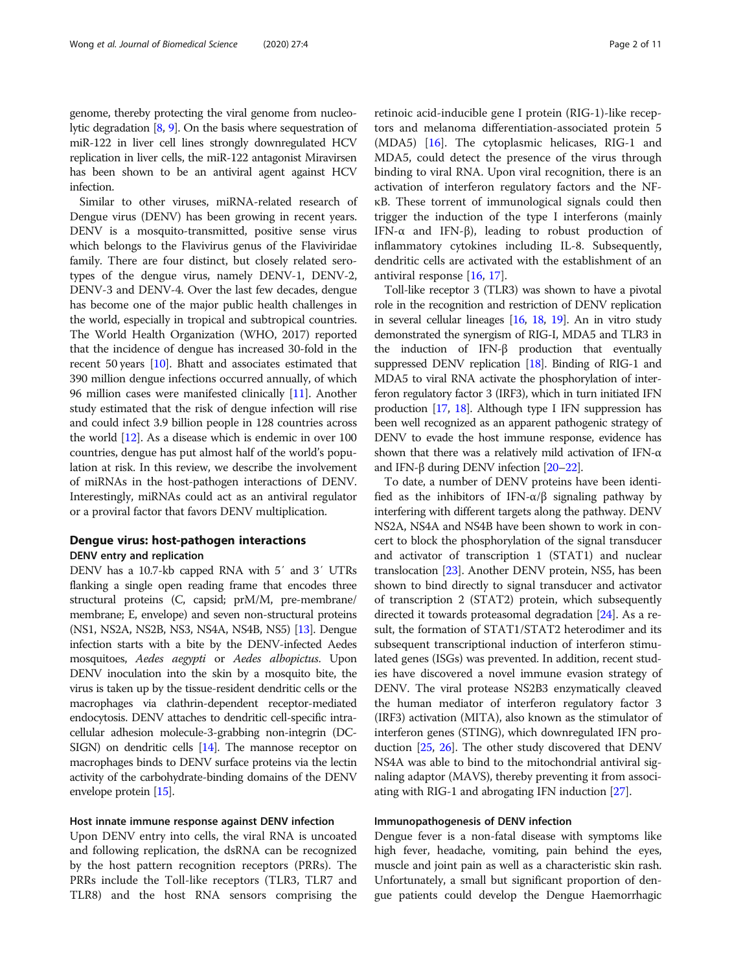genome, thereby protecting the viral genome from nucleolytic degradation [[8](#page-8-0), [9\]](#page-8-0). On the basis where sequestration of miR-122 in liver cell lines strongly downregulated HCV replication in liver cells, the miR-122 antagonist Miravirsen has been shown to be an antiviral agent against HCV infection.

Similar to other viruses, miRNA-related research of Dengue virus (DENV) has been growing in recent years. DENV is a mosquito-transmitted, positive sense virus which belongs to the Flavivirus genus of the Flaviviridae family. There are four distinct, but closely related serotypes of the dengue virus, namely DENV-1, DENV-2, DENV-3 and DENV-4. Over the last few decades, dengue has become one of the major public health challenges in the world, especially in tropical and subtropical countries. The World Health Organization (WHO, 2017) reported that the incidence of dengue has increased 30-fold in the recent 50 years [\[10\]](#page-8-0). Bhatt and associates estimated that 390 million dengue infections occurred annually, of which 96 million cases were manifested clinically [\[11](#page-8-0)]. Another study estimated that the risk of dengue infection will rise and could infect 3.9 billion people in 128 countries across the world [[12](#page-8-0)]. As a disease which is endemic in over 100 countries, dengue has put almost half of the world's population at risk. In this review, we describe the involvement of miRNAs in the host-pathogen interactions of DENV. Interestingly, miRNAs could act as an antiviral regulator or a proviral factor that favors DENV multiplication.

# Dengue virus: host-pathogen interactions DENV entry and replication

DENV has a 10.7-kb capped RNA with 5′ and 3′ UTRs flanking a single open reading frame that encodes three structural proteins (C, capsid; prM/M, pre-membrane/ membrane; E, envelope) and seven non-structural proteins (NS1, NS2A, NS2B, NS3, NS4A, NS4B, NS5) [\[13\]](#page-8-0). Dengue infection starts with a bite by the DENV-infected Aedes mosquitoes, Aedes aegypti or Aedes albopictus. Upon DENV inoculation into the skin by a mosquito bite, the virus is taken up by the tissue-resident dendritic cells or the macrophages via clathrin-dependent receptor-mediated endocytosis. DENV attaches to dendritic cell-specific intracellular adhesion molecule-3-grabbing non-integrin (DC-SIGN) on dendritic cells [\[14\]](#page-8-0). The mannose receptor on macrophages binds to DENV surface proteins via the lectin activity of the carbohydrate-binding domains of the DENV envelope protein [[15](#page-8-0)].

# Host innate immune response against DENV infection

Upon DENV entry into cells, the viral RNA is uncoated and following replication, the dsRNA can be recognized by the host pattern recognition receptors (PRRs). The PRRs include the Toll-like receptors (TLR3, TLR7 and TLR8) and the host RNA sensors comprising the retinoic acid-inducible gene I protein (RIG-1)-like receptors and melanoma differentiation-associated protein 5 (MDA5) [[16\]](#page-8-0). The cytoplasmic helicases, RIG-1 and MDA5, could detect the presence of the virus through binding to viral RNA. Upon viral recognition, there is an activation of interferon regulatory factors and the NFκB. These torrent of immunological signals could then trigger the induction of the type I interferons (mainly IFN-α and IFN-β), leading to robust production of inflammatory cytokines including IL-8. Subsequently, dendritic cells are activated with the establishment of an antiviral response [[16,](#page-8-0) [17\]](#page-8-0).

Toll-like receptor 3 (TLR3) was shown to have a pivotal role in the recognition and restriction of DENV replication in several cellular lineages [\[16,](#page-8-0) [18](#page-8-0), [19](#page-8-0)]. An in vitro study demonstrated the synergism of RIG-I, MDA5 and TLR3 in the induction of IFN-β production that eventually suppressed DENV replication [[18](#page-8-0)]. Binding of RIG-1 and MDA5 to viral RNA activate the phosphorylation of interferon regulatory factor 3 (IRF3), which in turn initiated IFN production [\[17](#page-8-0), [18\]](#page-8-0). Although type I IFN suppression has been well recognized as an apparent pathogenic strategy of DENV to evade the host immune response, evidence has shown that there was a relatively mild activation of IFN- $\alpha$ and IFN-β during DENV infection  $[20-22]$  $[20-22]$  $[20-22]$ .

To date, a number of DENV proteins have been identified as the inhibitors of IFN- $\alpha/\beta$  signaling pathway by interfering with different targets along the pathway. DENV NS2A, NS4A and NS4B have been shown to work in concert to block the phosphorylation of the signal transducer and activator of transcription 1 (STAT1) and nuclear translocation [[23\]](#page-9-0). Another DENV protein, NS5, has been shown to bind directly to signal transducer and activator of transcription 2 (STAT2) protein, which subsequently directed it towards proteasomal degradation [\[24](#page-9-0)]. As a result, the formation of STAT1/STAT2 heterodimer and its subsequent transcriptional induction of interferon stimulated genes (ISGs) was prevented. In addition, recent studies have discovered a novel immune evasion strategy of DENV. The viral protease NS2B3 enzymatically cleaved the human mediator of interferon regulatory factor 3 (IRF3) activation (MITA), also known as the stimulator of interferon genes (STING), which downregulated IFN production [\[25,](#page-9-0) [26](#page-9-0)]. The other study discovered that DENV NS4A was able to bind to the mitochondrial antiviral signaling adaptor (MAVS), thereby preventing it from associating with RIG-1 and abrogating IFN induction [\[27\]](#page-9-0).

# Immunopathogenesis of DENV infection

Dengue fever is a non-fatal disease with symptoms like high fever, headache, vomiting, pain behind the eyes, muscle and joint pain as well as a characteristic skin rash. Unfortunately, a small but significant proportion of dengue patients could develop the Dengue Haemorrhagic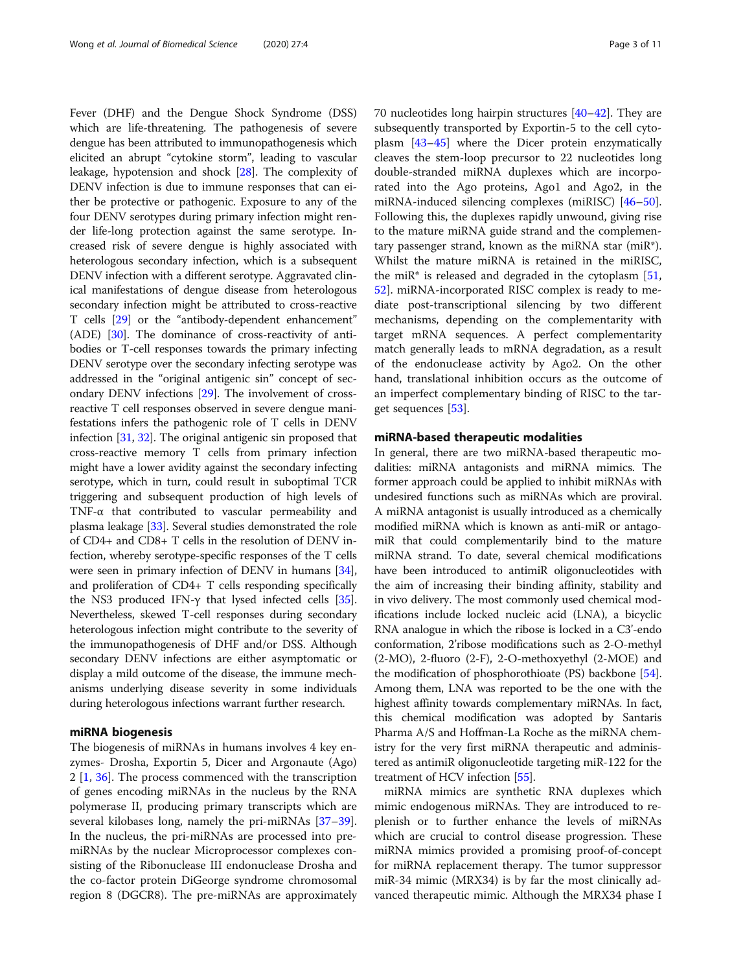Fever (DHF) and the Dengue Shock Syndrome (DSS) which are life-threatening. The pathogenesis of severe dengue has been attributed to immunopathogenesis which elicited an abrupt "cytokine storm", leading to vascular leakage, hypotension and shock [\[28\]](#page-9-0). The complexity of DENV infection is due to immune responses that can either be protective or pathogenic. Exposure to any of the four DENV serotypes during primary infection might render life-long protection against the same serotype. Increased risk of severe dengue is highly associated with heterologous secondary infection, which is a subsequent DENV infection with a different serotype. Aggravated clinical manifestations of dengue disease from heterologous secondary infection might be attributed to cross-reactive T cells [\[29\]](#page-9-0) or the "antibody-dependent enhancement" (ADE) [\[30](#page-9-0)]. The dominance of cross-reactivity of antibodies or T-cell responses towards the primary infecting DENV serotype over the secondary infecting serotype was addressed in the "original antigenic sin" concept of secondary DENV infections [\[29\]](#page-9-0). The involvement of crossreactive T cell responses observed in severe dengue manifestations infers the pathogenic role of T cells in DENV infection [[31](#page-9-0), [32\]](#page-9-0). The original antigenic sin proposed that cross-reactive memory T cells from primary infection might have a lower avidity against the secondary infecting serotype, which in turn, could result in suboptimal TCR triggering and subsequent production of high levels of TNF-α that contributed to vascular permeability and plasma leakage [[33](#page-9-0)]. Several studies demonstrated the role of CD4+ and CD8+ T cells in the resolution of DENV infection, whereby serotype-specific responses of the T cells were seen in primary infection of DENV in humans [[34](#page-9-0)], and proliferation of CD4+ T cells responding specifically the NS3 produced IFN-γ that lysed infected cells [[35](#page-9-0)]. Nevertheless, skewed T-cell responses during secondary heterologous infection might contribute to the severity of the immunopathogenesis of DHF and/or DSS. Although secondary DENV infections are either asymptomatic or display a mild outcome of the disease, the immune mechanisms underlying disease severity in some individuals during heterologous infections warrant further research.

## miRNA biogenesis

The biogenesis of miRNAs in humans involves 4 key enzymes- Drosha, Exportin 5, Dicer and Argonaute (Ago) 2 [[1,](#page-8-0) [36\]](#page-9-0). The process commenced with the transcription of genes encoding miRNAs in the nucleus by the RNA polymerase II, producing primary transcripts which are several kilobases long, namely the pri-miRNAs [[37](#page-9-0)–[39](#page-9-0)]. In the nucleus, the pri-miRNAs are processed into premiRNAs by the nuclear Microprocessor complexes consisting of the Ribonuclease III endonuclease Drosha and the co-factor protein DiGeorge syndrome chromosomal region 8 (DGCR8). The pre-miRNAs are approximately 70 nucleotides long hairpin structures [[40](#page-9-0)–[42\]](#page-9-0). They are subsequently transported by Exportin-5 to the cell cytoplasm [[43](#page-9-0)–[45](#page-9-0)] where the Dicer protein enzymatically cleaves the stem-loop precursor to 22 nucleotides long double-stranded miRNA duplexes which are incorporated into the Ago proteins, Ago1 and Ago2, in the miRNA-induced silencing complexes (miRISC) [[46](#page-9-0)–[50](#page-9-0)]. Following this, the duplexes rapidly unwound, giving rise to the mature miRNA guide strand and the complementary passenger strand, known as the miRNA star (miR\*). Whilst the mature miRNA is retained in the miRISC, the miR $*$  is released and degraded in the cytoplasm  $[51, 1]$  $[51, 1]$  $[51, 1]$ [52\]](#page-9-0). miRNA-incorporated RISC complex is ready to mediate post-transcriptional silencing by two different mechanisms, depending on the complementarity with target mRNA sequences. A perfect complementarity match generally leads to mRNA degradation, as a result of the endonuclease activity by Ago2. On the other hand, translational inhibition occurs as the outcome of an imperfect complementary binding of RISC to the target sequences [\[53\]](#page-9-0).

# miRNA-based therapeutic modalities

In general, there are two miRNA-based therapeutic modalities: miRNA antagonists and miRNA mimics. The former approach could be applied to inhibit miRNAs with undesired functions such as miRNAs which are proviral. A miRNA antagonist is usually introduced as a chemically modified miRNA which is known as anti-miR or antagomiR that could complementarily bind to the mature miRNA strand. To date, several chemical modifications have been introduced to antimiR oligonucleotides with the aim of increasing their binding affinity, stability and in vivo delivery. The most commonly used chemical modifications include locked nucleic acid (LNA), a bicyclic RNA analogue in which the ribose is locked in a C3'-endo conformation, 2'ribose modifications such as 2-O-methyl (2-MO), 2-fluoro (2-F), 2-O-methoxyethyl (2-MOE) and the modification of phosphorothioate (PS) backbone [[54](#page-9-0)]. Among them, LNA was reported to be the one with the highest affinity towards complementary miRNAs. In fact, this chemical modification was adopted by Santaris Pharma A/S and Hoffman-La Roche as the miRNA chemistry for the very first miRNA therapeutic and administered as antimiR oligonucleotide targeting miR-122 for the treatment of HCV infection [\[55\]](#page-9-0).

miRNA mimics are synthetic RNA duplexes which mimic endogenous miRNAs. They are introduced to replenish or to further enhance the levels of miRNAs which are crucial to control disease progression. These miRNA mimics provided a promising proof-of-concept for miRNA replacement therapy. The tumor suppressor miR-34 mimic (MRX34) is by far the most clinically advanced therapeutic mimic. Although the MRX34 phase I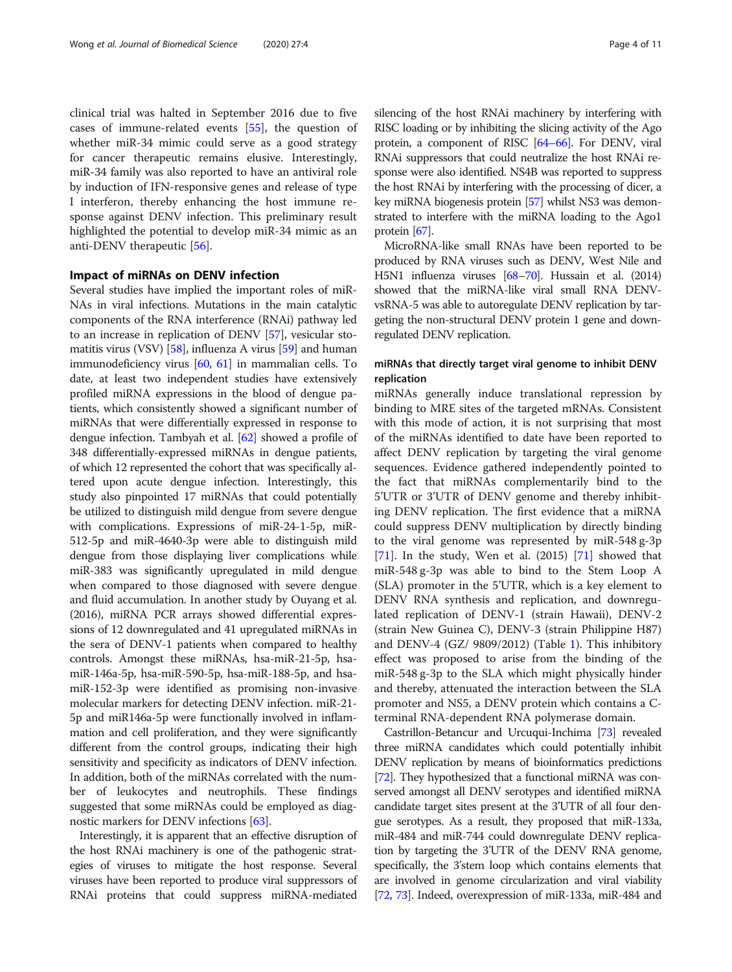clinical trial was halted in September 2016 due to five cases of immune-related events [[55](#page-9-0)], the question of whether miR-34 mimic could serve as a good strategy for cancer therapeutic remains elusive. Interestingly, miR-34 family was also reported to have an antiviral role by induction of IFN-responsive genes and release of type I interferon, thereby enhancing the host immune response against DENV infection. This preliminary result highlighted the potential to develop miR-34 mimic as an anti-DENV therapeutic [[56\]](#page-9-0).

# Impact of miRNAs on DENV infection

Several studies have implied the important roles of miR-NAs in viral infections. Mutations in the main catalytic components of the RNA interference (RNAi) pathway led to an increase in replication of DENV [[57](#page-9-0)], vesicular stomatitis virus (VSV) [[58](#page-9-0)], influenza A virus [[59](#page-9-0)] and human immunodeficiency virus [[60](#page-9-0), [61\]](#page-9-0) in mammalian cells. To date, at least two independent studies have extensively profiled miRNA expressions in the blood of dengue patients, which consistently showed a significant number of miRNAs that were differentially expressed in response to dengue infection. Tambyah et al. [\[62](#page-9-0)] showed a profile of 348 differentially-expressed miRNAs in dengue patients, of which 12 represented the cohort that was specifically altered upon acute dengue infection. Interestingly, this study also pinpointed 17 miRNAs that could potentially be utilized to distinguish mild dengue from severe dengue with complications. Expressions of miR-24-1-5p, miR-512-5p and miR-4640-3p were able to distinguish mild dengue from those displaying liver complications while miR-383 was significantly upregulated in mild dengue when compared to those diagnosed with severe dengue and fluid accumulation. In another study by Ouyang et al. (2016), miRNA PCR arrays showed differential expressions of 12 downregulated and 41 upregulated miRNAs in the sera of DENV-1 patients when compared to healthy controls. Amongst these miRNAs, hsa-miR-21-5p, hsamiR-146a-5p, hsa-miR-590-5p, hsa-miR-188-5p, and hsamiR-152-3p were identified as promising non-invasive molecular markers for detecting DENV infection. miR-21- 5p and miR146a-5p were functionally involved in inflammation and cell proliferation, and they were significantly different from the control groups, indicating their high sensitivity and specificity as indicators of DENV infection. In addition, both of the miRNAs correlated with the number of leukocytes and neutrophils. These findings suggested that some miRNAs could be employed as diagnostic markers for DENV infections [\[63\]](#page-9-0).

Interestingly, it is apparent that an effective disruption of the host RNAi machinery is one of the pathogenic strategies of viruses to mitigate the host response. Several viruses have been reported to produce viral suppressors of RNAi proteins that could suppress miRNA-mediated silencing of the host RNAi machinery by interfering with RISC loading or by inhibiting the slicing activity of the Ago protein, a component of RISC [\[64](#page-9-0)–[66\]](#page-9-0). For DENV, viral RNAi suppressors that could neutralize the host RNAi response were also identified. NS4B was reported to suppress the host RNAi by interfering with the processing of dicer, a key miRNA biogenesis protein [\[57](#page-9-0)] whilst NS3 was demonstrated to interfere with the miRNA loading to the Ago1 protein [[67](#page-9-0)].

MicroRNA-like small RNAs have been reported to be produced by RNA viruses such as DENV, West Nile and H5N1 influenza viruses [\[68](#page-9-0)–[70\]](#page-9-0). Hussain et al. (2014) showed that the miRNA-like viral small RNA DENVvsRNA-5 was able to autoregulate DENV replication by targeting the non-structural DENV protein 1 gene and downregulated DENV replication.

# miRNAs that directly target viral genome to inhibit DENV replication

miRNAs generally induce translational repression by binding to MRE sites of the targeted mRNAs. Consistent with this mode of action, it is not surprising that most of the miRNAs identified to date have been reported to affect DENV replication by targeting the viral genome sequences. Evidence gathered independently pointed to the fact that miRNAs complementarily bind to the 5'UTR or 3'UTR of DENV genome and thereby inhibiting DENV replication. The first evidence that a miRNA could suppress DENV multiplication by directly binding to the viral genome was represented by miR-548 g-3p [[71\]](#page-9-0). In the study, Wen et al. (2015) [[71\]](#page-9-0) showed that miR-548 g-3p was able to bind to the Stem Loop A (SLA) promoter in the 5'UTR, which is a key element to DENV RNA synthesis and replication, and downregulated replication of DENV-1 (strain Hawaii), DENV-2 (strain New Guinea C), DENV-3 (strain Philippine H87) and DENV-4 (GZ/ 9809/2012) (Table [1\)](#page-4-0). This inhibitory effect was proposed to arise from the binding of the miR-548 g-3p to the SLA which might physically hinder and thereby, attenuated the interaction between the SLA promoter and NS5, a DENV protein which contains a Cterminal RNA-dependent RNA polymerase domain.

Castrillon-Betancur and Urcuqui-Inchima [\[73\]](#page-9-0) revealed three miRNA candidates which could potentially inhibit DENV replication by means of bioinformatics predictions [[72](#page-9-0)]. They hypothesized that a functional miRNA was conserved amongst all DENV serotypes and identified miRNA candidate target sites present at the 3'UTR of all four dengue serotypes. As a result, they proposed that miR-133a, miR-484 and miR-744 could downregulate DENV replication by targeting the 3'UTR of the DENV RNA genome, specifically, the 3'stem loop which contains elements that are involved in genome circularization and viral viability [[72](#page-9-0), [73\]](#page-9-0). Indeed, overexpression of miR-133a, miR-484 and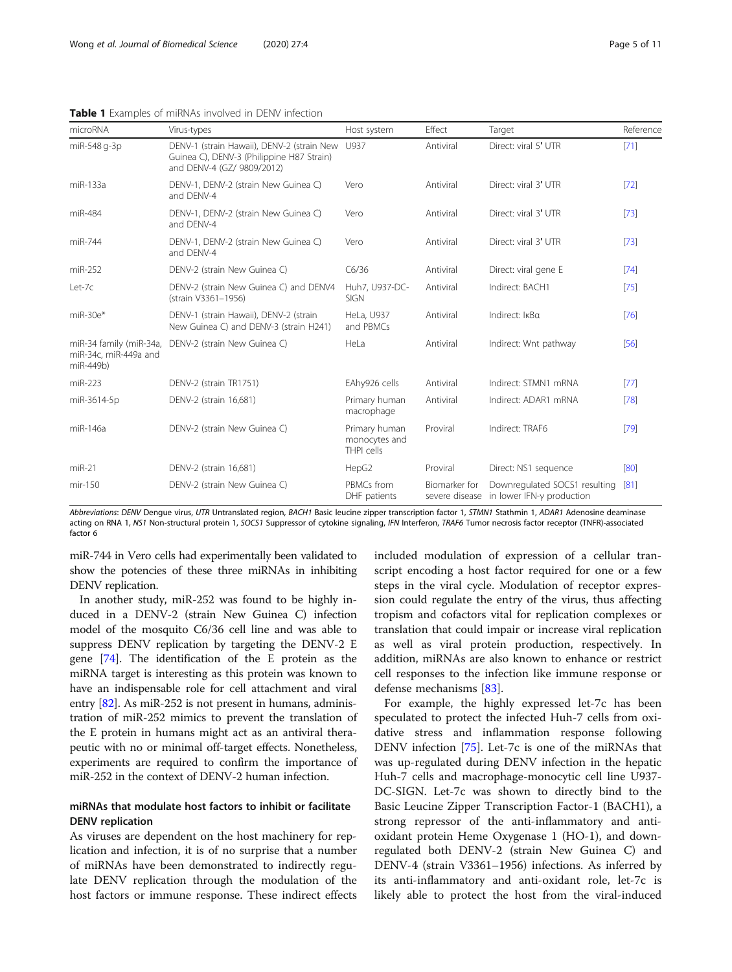| Page 5 or |  |
|-----------|--|
|           |  |

| microRNA                                                      | Virus-types                                                                                                           | Host system                                  | Effect        | Target                                                                    | Reference |
|---------------------------------------------------------------|-----------------------------------------------------------------------------------------------------------------------|----------------------------------------------|---------------|---------------------------------------------------------------------------|-----------|
| miR-548 q-3p                                                  | DENV-1 (strain Hawaii), DENV-2 (strain New<br>Guinea C), DENV-3 (Philippine H87 Strain)<br>and DENV-4 (GZ/ 9809/2012) | U937                                         | Antiviral     | Direct: viral 5' UTR                                                      | [71]      |
| miR-133a                                                      | DENV-1, DENV-2 (strain New Guinea C)<br>and DFNV-4                                                                    | Vero                                         | Antiviral     | Direct: viral 3' UTR                                                      | $[72]$    |
| miR-484                                                       | DENV-1, DENV-2 (strain New Guinea C)<br>and DFNV-4                                                                    | Vero                                         | Antiviral     | Direct: viral 3' UTR                                                      | $[73]$    |
| miR-744                                                       | DENV-1, DENV-2 (strain New Guinea C)<br>and DFNV-4                                                                    | Vero                                         | Antiviral     | Direct: viral 3' UTR                                                      | $[73]$    |
| miR-252                                                       | DENV-2 (strain New Guinea C)                                                                                          | C6/36                                        | Antiviral     | Direct: viral gene E                                                      | [74]      |
| Let-7c                                                        | DENV-2 (strain New Guinea C) and DENV4<br>(strain V3361-1956)                                                         | Huh7, U937-DC-<br><b>SIGN</b>                | Antiviral     | Indirect: BACH1                                                           | $[75]$    |
| $miR-30e*$                                                    | DENV-1 (strain Hawaii), DENV-2 (strain<br>New Guinea C) and DENV-3 (strain H241)                                      | HeLa, U937<br>and PBMCs                      | Antiviral     | Indirect: IKBa                                                            | [76]      |
| miR-34 family (miR-34a,<br>miR-34c, miR-449a and<br>miR-449b) | DENV-2 (strain New Guinea C)                                                                                          | HeLa                                         | Antiviral     | Indirect: Wnt pathway                                                     | [56]      |
| miR-223                                                       | DENV-2 (strain TR1751)                                                                                                | EAhy926 cells                                | Antiviral     | Indirect: STMN1 mRNA                                                      | [77]      |
| miR-3614-5p                                                   | DENV-2 (strain 16,681)                                                                                                | Primary human<br>macrophage                  | Antiviral     | Indirect: ADAR1 mRNA                                                      | [78]      |
| miR-146a                                                      | DENV-2 (strain New Guinea C)                                                                                          | Primary human<br>monocytes and<br>THPI cells | Proviral      | Indirect: TRAF6                                                           | $[79]$    |
| $miR-21$                                                      | DENV-2 (strain 16,681)                                                                                                | HepG2                                        | Proviral      | Direct: NS1 sequence                                                      | [80]      |
| mir-150                                                       | DENV-2 (strain New Guinea C)                                                                                          | PBMCs from<br>DHF patients                   | Biomarker for | Downregulated SOCS1 resulting<br>severe disease in lower IFN-y production | [81]      |

<span id="page-4-0"></span>Table 1 Examples of miRNAs involved in DENV infection

Abbreviations: DENV Dengue virus, UTR Untranslated region, BACH1 Basic leucine zipper transcription factor 1, STMN1 Stathmin 1, ADAR1 Adenosine deaminase acting on RNA 1, NS1 Non-structural protein 1, SOCS1 Suppressor of cytokine signaling, IFN Interferon, TRAF6 Tumor necrosis factor receptor (TNFR)-associated factor 6

miR-744 in Vero cells had experimentally been validated to show the potencies of these three miRNAs in inhibiting DENV replication.

In another study, miR-252 was found to be highly induced in a DENV-2 (strain New Guinea C) infection model of the mosquito C6/36 cell line and was able to suppress DENV replication by targeting the DENV-2 E gene [\[74\]](#page-10-0). The identification of the E protein as the miRNA target is interesting as this protein was known to have an indispensable role for cell attachment and viral entry [\[82\]](#page-10-0). As miR-252 is not present in humans, administration of miR-252 mimics to prevent the translation of the E protein in humans might act as an antiviral therapeutic with no or minimal off-target effects. Nonetheless, experiments are required to confirm the importance of miR-252 in the context of DENV-2 human infection.

# miRNAs that modulate host factors to inhibit or facilitate DENV replication

As viruses are dependent on the host machinery for replication and infection, it is of no surprise that a number of miRNAs have been demonstrated to indirectly regulate DENV replication through the modulation of the host factors or immune response. These indirect effects

included modulation of expression of a cellular transcript encoding a host factor required for one or a few steps in the viral cycle. Modulation of receptor expression could regulate the entry of the virus, thus affecting tropism and cofactors vital for replication complexes or translation that could impair or increase viral replication as well as viral protein production, respectively. In addition, miRNAs are also known to enhance or restrict cell responses to the infection like immune response or defense mechanisms [[83\]](#page-10-0).

For example, the highly expressed let-7c has been speculated to protect the infected Huh-7 cells from oxidative stress and inflammation response following DENV infection [\[75\]](#page-10-0). Let-7c is one of the miRNAs that was up-regulated during DENV infection in the hepatic Huh-7 cells and macrophage-monocytic cell line U937- DC-SIGN. Let-7c was shown to directly bind to the Basic Leucine Zipper Transcription Factor-1 (BACH1), a strong repressor of the anti-inflammatory and antioxidant protein Heme Oxygenase 1 (HO-1), and downregulated both DENV-2 (strain New Guinea C) and DENV-4 (strain V3361–1956) infections. As inferred by its anti-inflammatory and anti-oxidant role, let-7c is likely able to protect the host from the viral-induced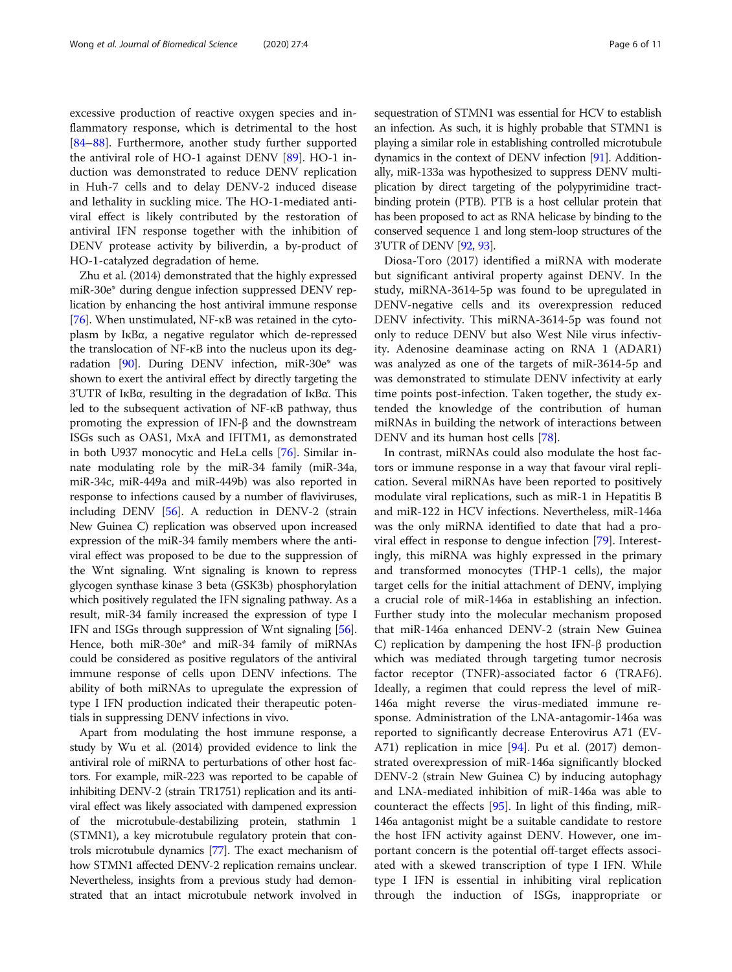excessive production of reactive oxygen species and inflammatory response, which is detrimental to the host [[84](#page-10-0)–[88](#page-10-0)]. Furthermore, another study further supported the antiviral role of HO-1 against DENV [\[89\]](#page-10-0). HO-1 induction was demonstrated to reduce DENV replication in Huh-7 cells and to delay DENV-2 induced disease and lethality in suckling mice. The HO-1-mediated antiviral effect is likely contributed by the restoration of antiviral IFN response together with the inhibition of DENV protease activity by biliverdin, a by-product of HO-1-catalyzed degradation of heme.

Zhu et al. (2014) demonstrated that the highly expressed miR-30e\* during dengue infection suppressed DENV replication by enhancing the host antiviral immune response [[76](#page-10-0)]. When unstimulated, NF-κB was retained in the cytoplasm by IκBα, a negative regulator which de-repressed the translocation of NF-κB into the nucleus upon its degradation [\[90](#page-10-0)]. During DENV infection, miR-30e\* was shown to exert the antiviral effect by directly targeting the 3'UTR of IκBα, resulting in the degradation of IκBα. This led to the subsequent activation of NF-κB pathway, thus promoting the expression of IFN-β and the downstream ISGs such as OAS1, MxA and IFITM1, as demonstrated in both U937 monocytic and HeLa cells [[76](#page-10-0)]. Similar innate modulating role by the miR-34 family (miR-34a, miR-34c, miR-449a and miR-449b) was also reported in response to infections caused by a number of flaviviruses, including DENV [[56](#page-9-0)]. A reduction in DENV-2 (strain New Guinea C) replication was observed upon increased expression of the miR-34 family members where the antiviral effect was proposed to be due to the suppression of the Wnt signaling. Wnt signaling is known to repress glycogen synthase kinase 3 beta (GSK3b) phosphorylation which positively regulated the IFN signaling pathway. As a result, miR-34 family increased the expression of type I IFN and ISGs through suppression of Wnt signaling [[56](#page-9-0)]. Hence, both miR-30e\* and miR-34 family of miRNAs could be considered as positive regulators of the antiviral immune response of cells upon DENV infections. The ability of both miRNAs to upregulate the expression of type I IFN production indicated their therapeutic potentials in suppressing DENV infections in vivo.

Apart from modulating the host immune response, a study by Wu et al. (2014) provided evidence to link the antiviral role of miRNA to perturbations of other host factors. For example, miR-223 was reported to be capable of inhibiting DENV-2 (strain TR1751) replication and its antiviral effect was likely associated with dampened expression of the microtubule-destabilizing protein, stathmin 1 (STMN1), a key microtubule regulatory protein that controls microtubule dynamics [[77](#page-10-0)]. The exact mechanism of how STMN1 affected DENV-2 replication remains unclear. Nevertheless, insights from a previous study had demonstrated that an intact microtubule network involved in sequestration of STMN1 was essential for HCV to establish an infection. As such, it is highly probable that STMN1 is playing a similar role in establishing controlled microtubule dynamics in the context of DENV infection [\[91](#page-10-0)]. Additionally, miR-133a was hypothesized to suppress DENV multiplication by direct targeting of the polypyrimidine tractbinding protein (PTB). PTB is a host cellular protein that has been proposed to act as RNA helicase by binding to the conserved sequence 1 and long stem-loop structures of the 3'UTR of DENV [\[92](#page-10-0), [93](#page-10-0)].

Diosa-Toro (2017) identified a miRNA with moderate but significant antiviral property against DENV. In the study, miRNA-3614-5p was found to be upregulated in DENV-negative cells and its overexpression reduced DENV infectivity. This miRNA-3614-5p was found not only to reduce DENV but also West Nile virus infectivity. Adenosine deaminase acting on RNA 1 (ADAR1) was analyzed as one of the targets of miR-3614-5p and was demonstrated to stimulate DENV infectivity at early time points post-infection. Taken together, the study extended the knowledge of the contribution of human miRNAs in building the network of interactions between DENV and its human host cells [[78](#page-10-0)].

In contrast, miRNAs could also modulate the host factors or immune response in a way that favour viral replication. Several miRNAs have been reported to positively modulate viral replications, such as miR-1 in Hepatitis B and miR-122 in HCV infections. Nevertheless, miR-146a was the only miRNA identified to date that had a proviral effect in response to dengue infection [[79](#page-10-0)]. Interestingly, this miRNA was highly expressed in the primary and transformed monocytes (THP-1 cells), the major target cells for the initial attachment of DENV, implying a crucial role of miR-146a in establishing an infection. Further study into the molecular mechanism proposed that miR-146a enhanced DENV-2 (strain New Guinea C) replication by dampening the host IFN-β production which was mediated through targeting tumor necrosis factor receptor (TNFR)-associated factor 6 (TRAF6). Ideally, a regimen that could repress the level of miR-146a might reverse the virus-mediated immune response. Administration of the LNA-antagomir-146a was reported to significantly decrease Enterovirus A71 (EV-A71) replication in mice [\[94](#page-10-0)]. Pu et al. (2017) demonstrated overexpression of miR-146a significantly blocked DENV-2 (strain New Guinea C) by inducing autophagy and LNA-mediated inhibition of miR-146a was able to counteract the effects [[95\]](#page-10-0). In light of this finding, miR-146a antagonist might be a suitable candidate to restore the host IFN activity against DENV. However, one important concern is the potential off-target effects associated with a skewed transcription of type I IFN. While type I IFN is essential in inhibiting viral replication through the induction of ISGs, inappropriate or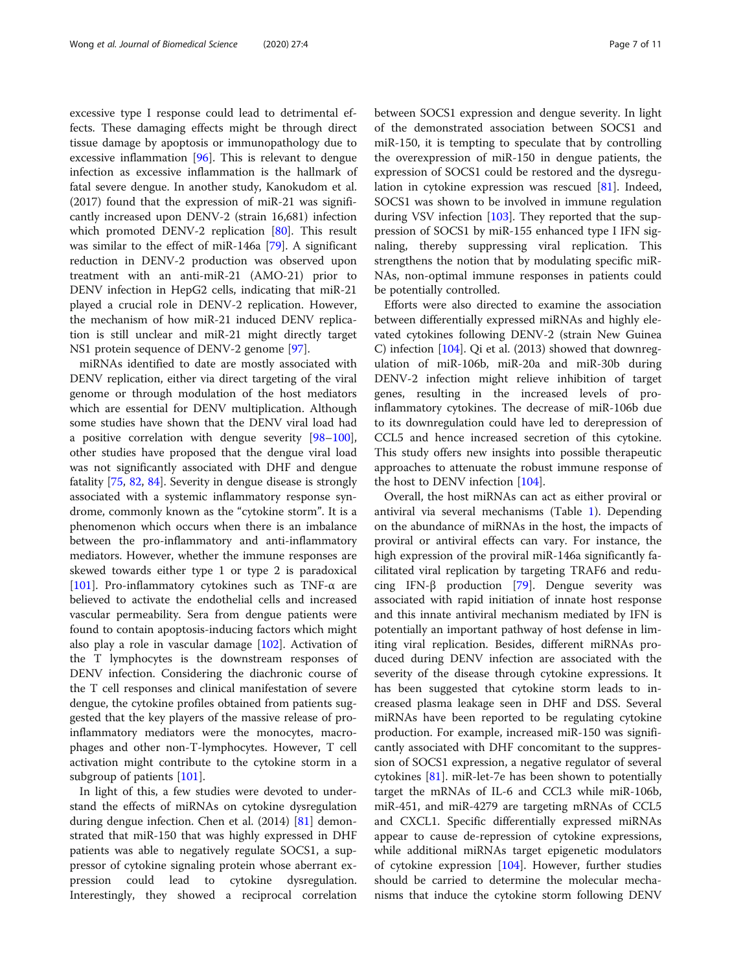excessive type I response could lead to detrimental effects. These damaging effects might be through direct tissue damage by apoptosis or immunopathology due to excessive inflammation  $[96]$  $[96]$ . This is relevant to dengue infection as excessive inflammation is the hallmark of fatal severe dengue. In another study, Kanokudom et al. (2017) found that the expression of miR-21 was significantly increased upon DENV-2 (strain 16,681) infection which promoted DENV-2 replication [[80\]](#page-10-0). This result was similar to the effect of miR-146a [\[79](#page-10-0)]. A significant reduction in DENV-2 production was observed upon treatment with an anti-miR-21 (AMO-21) prior to DENV infection in HepG2 cells, indicating that miR-21 played a crucial role in DENV-2 replication. However, the mechanism of how miR-21 induced DENV replication is still unclear and miR-21 might directly target NS1 protein sequence of DENV-2 genome [\[97](#page-10-0)].

miRNAs identified to date are mostly associated with DENV replication, either via direct targeting of the viral genome or through modulation of the host mediators which are essential for DENV multiplication. Although some studies have shown that the DENV viral load had a positive correlation with dengue severity [[98](#page-10-0)–[100](#page-10-0)], other studies have proposed that the dengue viral load was not significantly associated with DHF and dengue fatality [\[75](#page-10-0), [82](#page-10-0), [84](#page-10-0)]. Severity in dengue disease is strongly associated with a systemic inflammatory response syndrome, commonly known as the "cytokine storm". It is a phenomenon which occurs when there is an imbalance between the pro-inflammatory and anti-inflammatory mediators. However, whether the immune responses are skewed towards either type 1 or type 2 is paradoxical [[101\]](#page-10-0). Pro-inflammatory cytokines such as TNF- $\alpha$  are believed to activate the endothelial cells and increased vascular permeability. Sera from dengue patients were found to contain apoptosis-inducing factors which might also play a role in vascular damage [\[102](#page-10-0)]. Activation of the T lymphocytes is the downstream responses of DENV infection. Considering the diachronic course of the T cell responses and clinical manifestation of severe dengue, the cytokine profiles obtained from patients suggested that the key players of the massive release of proinflammatory mediators were the monocytes, macrophages and other non-T-lymphocytes. However, T cell activation might contribute to the cytokine storm in a subgroup of patients [[101\]](#page-10-0).

In light of this, a few studies were devoted to understand the effects of miRNAs on cytokine dysregulation during dengue infection. Chen et al. (2014) [\[81](#page-10-0)] demonstrated that miR-150 that was highly expressed in DHF patients was able to negatively regulate SOCS1, a suppressor of cytokine signaling protein whose aberrant expression could lead to cytokine dysregulation. Interestingly, they showed a reciprocal correlation between SOCS1 expression and dengue severity. In light of the demonstrated association between SOCS1 and miR-150, it is tempting to speculate that by controlling the overexpression of miR-150 in dengue patients, the expression of SOCS1 could be restored and the dysregulation in cytokine expression was rescued [\[81\]](#page-10-0). Indeed, SOCS1 was shown to be involved in immune regulation during VSV infection [\[103](#page-10-0)]. They reported that the suppression of SOCS1 by miR-155 enhanced type I IFN signaling, thereby suppressing viral replication. This strengthens the notion that by modulating specific miR-NAs, non-optimal immune responses in patients could be potentially controlled.

Efforts were also directed to examine the association between differentially expressed miRNAs and highly elevated cytokines following DENV-2 (strain New Guinea C) infection [\[104](#page-10-0)]. Qi et al. (2013) showed that downregulation of miR-106b, miR-20a and miR-30b during DENV-2 infection might relieve inhibition of target genes, resulting in the increased levels of proinflammatory cytokines. The decrease of miR-106b due to its downregulation could have led to derepression of CCL5 and hence increased secretion of this cytokine. This study offers new insights into possible therapeutic approaches to attenuate the robust immune response of the host to DENV infection [[104\]](#page-10-0).

Overall, the host miRNAs can act as either proviral or antiviral via several mechanisms (Table [1\)](#page-4-0). Depending on the abundance of miRNAs in the host, the impacts of proviral or antiviral effects can vary. For instance, the high expression of the proviral miR-146a significantly facilitated viral replication by targeting TRAF6 and redu-cing IFN-β production [\[79](#page-10-0)]. Dengue severity was associated with rapid initiation of innate host response and this innate antiviral mechanism mediated by IFN is potentially an important pathway of host defense in limiting viral replication. Besides, different miRNAs produced during DENV infection are associated with the severity of the disease through cytokine expressions. It has been suggested that cytokine storm leads to increased plasma leakage seen in DHF and DSS. Several miRNAs have been reported to be regulating cytokine production. For example, increased miR-150 was significantly associated with DHF concomitant to the suppression of SOCS1 expression, a negative regulator of several cytokines [\[81](#page-10-0)]. miR-let-7e has been shown to potentially target the mRNAs of IL-6 and CCL3 while miR-106b, miR-451, and miR-4279 are targeting mRNAs of CCL5 and CXCL1. Specific differentially expressed miRNAs appear to cause de-repression of cytokine expressions, while additional miRNAs target epigenetic modulators of cytokine expression [\[104](#page-10-0)]. However, further studies should be carried to determine the molecular mechanisms that induce the cytokine storm following DENV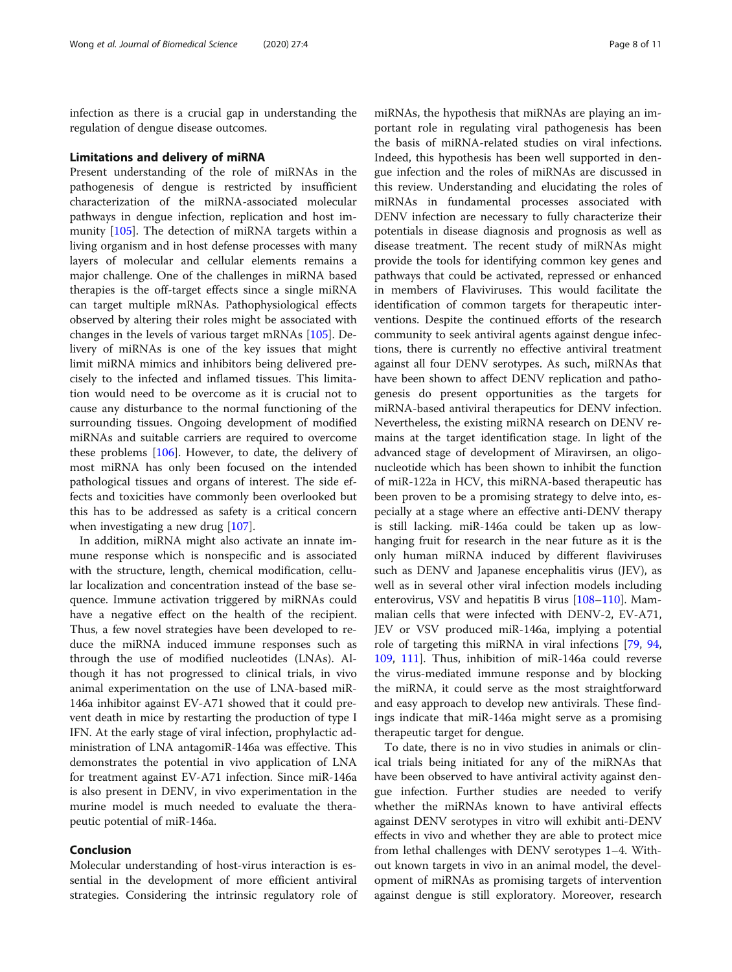infection as there is a crucial gap in understanding the regulation of dengue disease outcomes.

### Limitations and delivery of miRNA

Present understanding of the role of miRNAs in the pathogenesis of dengue is restricted by insufficient characterization of the miRNA-associated molecular pathways in dengue infection, replication and host immunity [[105](#page-10-0)]. The detection of miRNA targets within a living organism and in host defense processes with many layers of molecular and cellular elements remains a major challenge. One of the challenges in miRNA based therapies is the off-target effects since a single miRNA can target multiple mRNAs. Pathophysiological effects observed by altering their roles might be associated with changes in the levels of various target mRNAs [\[105](#page-10-0)]. Delivery of miRNAs is one of the key issues that might limit miRNA mimics and inhibitors being delivered precisely to the infected and inflamed tissues. This limitation would need to be overcome as it is crucial not to cause any disturbance to the normal functioning of the surrounding tissues. Ongoing development of modified miRNAs and suitable carriers are required to overcome these problems [\[106\]](#page-10-0). However, to date, the delivery of most miRNA has only been focused on the intended pathological tissues and organs of interest. The side effects and toxicities have commonly been overlooked but this has to be addressed as safety is a critical concern when investigating a new drug [[107\]](#page-10-0).

In addition, miRNA might also activate an innate immune response which is nonspecific and is associated with the structure, length, chemical modification, cellular localization and concentration instead of the base sequence. Immune activation triggered by miRNAs could have a negative effect on the health of the recipient. Thus, a few novel strategies have been developed to reduce the miRNA induced immune responses such as through the use of modified nucleotides (LNAs). Although it has not progressed to clinical trials, in vivo animal experimentation on the use of LNA-based miR-146a inhibitor against EV-A71 showed that it could prevent death in mice by restarting the production of type I IFN. At the early stage of viral infection, prophylactic administration of LNA antagomiR-146a was effective. This demonstrates the potential in vivo application of LNA for treatment against EV-A71 infection. Since miR-146a is also present in DENV, in vivo experimentation in the murine model is much needed to evaluate the therapeutic potential of miR-146a.

# Conclusion

Molecular understanding of host-virus interaction is essential in the development of more efficient antiviral strategies. Considering the intrinsic regulatory role of

miRNAs, the hypothesis that miRNAs are playing an important role in regulating viral pathogenesis has been the basis of miRNA-related studies on viral infections. Indeed, this hypothesis has been well supported in dengue infection and the roles of miRNAs are discussed in this review. Understanding and elucidating the roles of miRNAs in fundamental processes associated with DENV infection are necessary to fully characterize their potentials in disease diagnosis and prognosis as well as disease treatment. The recent study of miRNAs might provide the tools for identifying common key genes and pathways that could be activated, repressed or enhanced in members of Flaviviruses. This would facilitate the identification of common targets for therapeutic interventions. Despite the continued efforts of the research community to seek antiviral agents against dengue infections, there is currently no effective antiviral treatment against all four DENV serotypes. As such, miRNAs that have been shown to affect DENV replication and pathogenesis do present opportunities as the targets for miRNA-based antiviral therapeutics for DENV infection. Nevertheless, the existing miRNA research on DENV remains at the target identification stage. In light of the advanced stage of development of Miravirsen, an oligonucleotide which has been shown to inhibit the function of miR-122a in HCV, this miRNA-based therapeutic has been proven to be a promising strategy to delve into, especially at a stage where an effective anti-DENV therapy is still lacking. miR-146a could be taken up as lowhanging fruit for research in the near future as it is the only human miRNA induced by different flaviviruses such as DENV and Japanese encephalitis virus (JEV), as well as in several other viral infection models including enterovirus, VSV and hepatitis B virus [\[108](#page-10-0)–[110\]](#page-10-0). Mammalian cells that were infected with DENV-2, EV-A71, JEV or VSV produced miR-146a, implying a potential role of targeting this miRNA in viral infections [[79](#page-10-0), [94](#page-10-0), [109](#page-10-0), [111](#page-10-0)]. Thus, inhibition of miR-146a could reverse the virus-mediated immune response and by blocking the miRNA, it could serve as the most straightforward and easy approach to develop new antivirals. These findings indicate that miR-146a might serve as a promising therapeutic target for dengue.

To date, there is no in vivo studies in animals or clinical trials being initiated for any of the miRNAs that have been observed to have antiviral activity against dengue infection. Further studies are needed to verify whether the miRNAs known to have antiviral effects against DENV serotypes in vitro will exhibit anti-DENV effects in vivo and whether they are able to protect mice from lethal challenges with DENV serotypes 1–4. Without known targets in vivo in an animal model, the development of miRNAs as promising targets of intervention against dengue is still exploratory. Moreover, research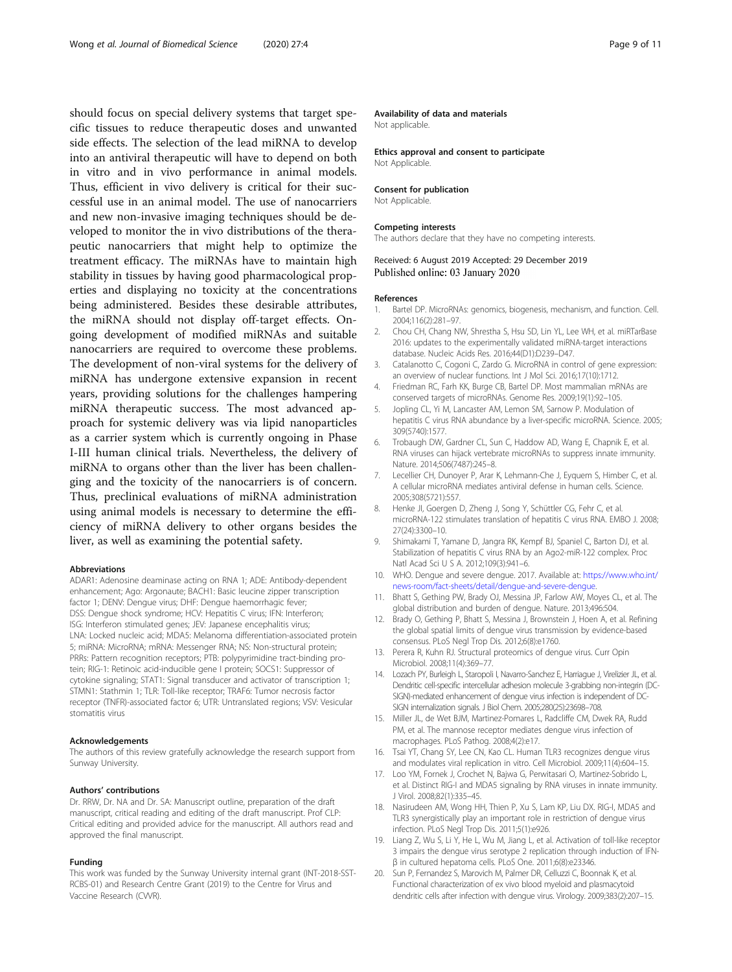<span id="page-8-0"></span>should focus on special delivery systems that target specific tissues to reduce therapeutic doses and unwanted side effects. The selection of the lead miRNA to develop into an antiviral therapeutic will have to depend on both in vitro and in vivo performance in animal models. Thus, efficient in vivo delivery is critical for their successful use in an animal model. The use of nanocarriers and new non-invasive imaging techniques should be developed to monitor the in vivo distributions of the therapeutic nanocarriers that might help to optimize the treatment efficacy. The miRNAs have to maintain high stability in tissues by having good pharmacological properties and displaying no toxicity at the concentrations being administered. Besides these desirable attributes, the miRNA should not display off-target effects. Ongoing development of modified miRNAs and suitable nanocarriers are required to overcome these problems. The development of non-viral systems for the delivery of miRNA has undergone extensive expansion in recent years, providing solutions for the challenges hampering miRNA therapeutic success. The most advanced approach for systemic delivery was via lipid nanoparticles as a carrier system which is currently ongoing in Phase I-III human clinical trials. Nevertheless, the delivery of miRNA to organs other than the liver has been challenging and the toxicity of the nanocarriers is of concern. Thus, preclinical evaluations of miRNA administration using animal models is necessary to determine the efficiency of miRNA delivery to other organs besides the liver, as well as examining the potential safety.

#### Abbreviations

ADAR1: Adenosine deaminase acting on RNA 1; ADE: Antibody-dependent enhancement; Ago: Argonaute; BACH1: Basic leucine zipper transcription factor 1; DENV: Dengue virus; DHF: Dengue haemorrhagic fever; DSS: Dengue shock syndrome; HCV: Hepatitis C virus; IFN: Interferon; ISG: Interferon stimulated genes; JEV: Japanese encephalitis virus; LNA: Locked nucleic acid; MDA5: Melanoma differentiation-associated protein 5; miRNA: MicroRNA; mRNA: Messenger RNA; NS: Non-structural protein; PRRs: Pattern recognition receptors; PTB: polypyrimidine tract-binding protein; RIG-1: Retinoic acid-inducible gene I protein; SOCS1: Suppressor of cytokine signaling; STAT1: Signal transducer and activator of transcription 1; STMN1: Stathmin 1; TLR: Toll-like receptor; TRAF6: Tumor necrosis factor receptor (TNFR)-associated factor 6; UTR: Untranslated regions; VSV: Vesicular stomatitis virus

#### Acknowledgements

The authors of this review gratefully acknowledge the research support from Sunway University.

#### Authors' contributions

Dr. RRW, Dr. NA and Dr. SA: Manuscript outline, preparation of the draft manuscript, critical reading and editing of the draft manuscript. Prof CLP: Critical editing and provided advice for the manuscript. All authors read and approved the final manuscript.

#### Funding

This work was funded by the Sunway University internal grant (INT-2018-SST-RCBS-01) and Research Centre Grant (2019) to the Centre for Virus and Vaccine Research (CVVR).

#### Availability of data and materials

Not applicable.

Ethics approval and consent to participate Not Applicable.

#### Consent for publication

Not Applicable.

#### Competing interests

The authors declare that they have no competing interests.

#### Received: 6 August 2019 Accepted: 29 December 2019 Published online: 03 January 2020

#### References

- 1. Bartel DP. MicroRNAs: genomics, biogenesis, mechanism, and function. Cell. 2004;116(2):281–97.
- 2. Chou CH, Chang NW, Shrestha S, Hsu SD, Lin YL, Lee WH, et al. miRTarBase 2016: updates to the experimentally validated miRNA-target interactions database. Nucleic Acids Res. 2016;44(D1):D239–D47.
- 3. Catalanotto C, Cogoni C, Zardo G. MicroRNA in control of gene expression: an overview of nuclear functions. Int J Mol Sci. 2016;17(10):1712.
- 4. Friedman RC, Farh KK, Burge CB, Bartel DP. Most mammalian mRNAs are conserved targets of microRNAs. Genome Res. 2009;19(1):92–105.
- 5. Jopling CL, Yi M, Lancaster AM, Lemon SM, Sarnow P. Modulation of hepatitis C virus RNA abundance by a liver-specific microRNA. Science. 2005; 309(5740):1577.
- 6. Trobaugh DW, Gardner CL, Sun C, Haddow AD, Wang E, Chapnik E, et al. RNA viruses can hijack vertebrate microRNAs to suppress innate immunity. Nature. 2014;506(7487):245–8.
- 7. Lecellier CH, Dunoyer P, Arar K, Lehmann-Che J, Eyquem S, Himber C, et al. A cellular microRNA mediates antiviral defense in human cells. Science. 2005;308(5721):557.
- Henke JI, Goergen D, Zheng J, Song Y, Schüttler CG, Fehr C, et al. microRNA-122 stimulates translation of hepatitis C virus RNA. EMBO J. 2008; 27(24):3300–10.
- 9. Shimakami T, Yamane D, Jangra RK, Kempf BJ, Spaniel C, Barton DJ, et al. Stabilization of hepatitis C virus RNA by an Ago2-miR-122 complex. Proc Natl Acad Sci U S A. 2012;109(3):941–6.
- 10. WHO. Dengue and severe dengue. 2017. Available at: [https://www.who.int/](https://www.who.int/news-room/fact-sheets/detail/dengue-and-severe-dengue) [news-room/fact-sheets/detail/dengue-and-severe-dengue.](https://www.who.int/news-room/fact-sheets/detail/dengue-and-severe-dengue)
- 11. Bhatt S, Gething PW, Brady OJ, Messina JP, Farlow AW, Moyes CL, et al. The global distribution and burden of dengue. Nature. 2013;496:504.
- 12. Brady O, Gething P, Bhatt S, Messina J, Brownstein J, Hoen A, et al. Refining the global spatial limits of dengue virus transmission by evidence-based consensus. PLoS Negl Trop Dis. 2012;6(8):e1760.
- 13. Perera R, Kuhn RJ. Structural proteomics of dengue virus. Curr Opin Microbiol. 2008;11(4):369–77.
- 14. Lozach PY, Burleigh L, Staropoli I, Navarro-Sanchez E, Harriague J, Virelizier JL, et al. Dendritic cell-specific intercellular adhesion molecule 3-grabbing non-integrin (DC-SIGN)-mediated enhancement of dengue virus infection is independent of DC-SIGN internalization signals. J Biol Chem. 2005;280(25):23698–708.
- 15. Miller JL, de Wet BJM, Martinez-Pomares L, Radcliffe CM, Dwek RA, Rudd PM, et al. The mannose receptor mediates dengue virus infection of macrophages. PLoS Pathog. 2008;4(2):e17.
- 16. Tsai YT, Chang SY, Lee CN, Kao CL. Human TLR3 recognizes dengue virus and modulates viral replication in vitro. Cell Microbiol. 2009;11(4):604–15.
- 17. Loo YM, Fornek J, Crochet N, Bajwa G, Perwitasari O, Martinez-Sobrido L, et al. Distinct RIG-I and MDA5 signaling by RNA viruses in innate immunity. J Virol. 2008;82(1):335–45.
- 18. Nasirudeen AM, Wong HH, Thien P, Xu S, Lam KP, Liu DX. RIG-I, MDA5 and TLR3 synergistically play an important role in restriction of dengue virus infection. PLoS Negl Trop Dis. 2011;5(1):e926.
- 19. Liang Z, Wu S, Li Y, He L, Wu M, Jiang L, et al. Activation of toll-like receptor 3 impairs the dengue virus serotype 2 replication through induction of IFNβ in cultured hepatoma cells. PLoS One. 2011;6(8):e23346.
- 20. Sun P, Fernandez S, Marovich M, Palmer DR, Celluzzi C, Boonnak K, et al. Functional characterization of ex vivo blood myeloid and plasmacytoid dendritic cells after infection with dengue virus. Virology. 2009;383(2):207–15.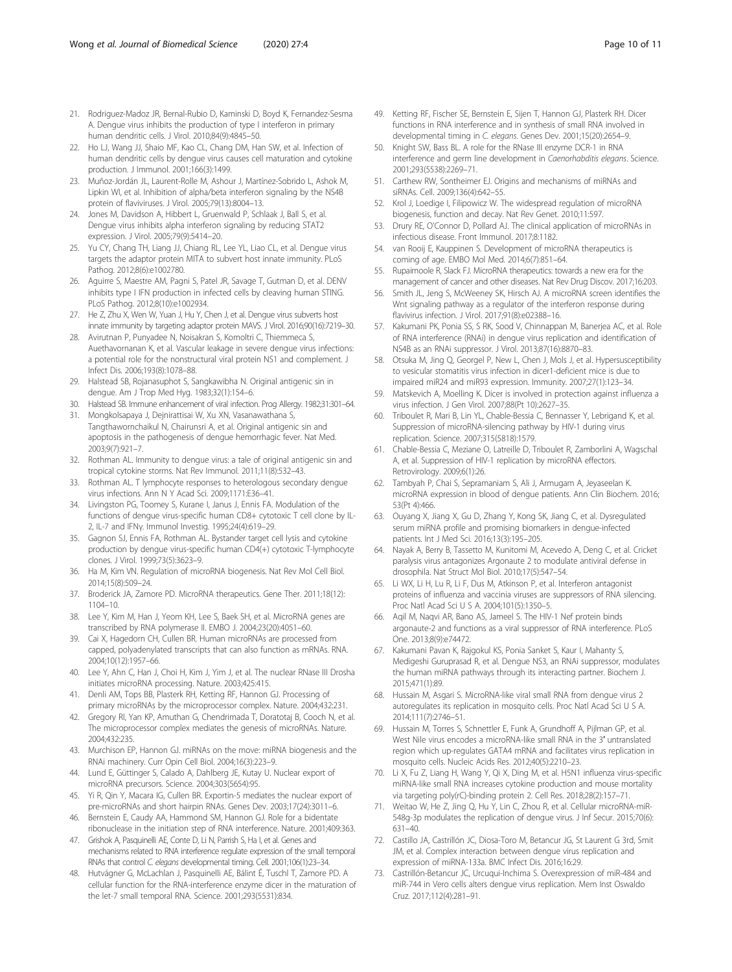- <span id="page-9-0"></span>21. Rodriguez-Madoz JR, Bernal-Rubio D, Kaminski D, Boyd K, Fernandez-Sesma A. Dengue virus inhibits the production of type I interferon in primary human dendritic cells. J Virol. 2010;84(9):4845–50.
- 22. Ho LJ, Wang JJ, Shaio MF, Kao CL, Chang DM, Han SW, et al. Infection of human dendritic cells by dengue virus causes cell maturation and cytokine production. J Immunol. 2001;166(3):1499.
- 23. Muñoz-Jordán JL, Laurent-Rolle M, Ashour J, Martínez-Sobrido L, Ashok M, Lipkin WI, et al. Inhibition of alpha/beta interferon signaling by the NS4B protein of flaviviruses. J Virol. 2005;79(13):8004–13.
- 24. Jones M, Davidson A, Hibbert L, Gruenwald P, Schlaak J, Ball S, et al. Dengue virus inhibits alpha interferon signaling by reducing STAT2 expression. J Virol. 2005;79(9):5414–20.
- 25. Yu CY, Chang TH, Liang JJ, Chiang RL, Lee YL, Liao CL, et al. Dengue virus targets the adaptor protein MITA to subvert host innate immunity. PLoS Pathog. 2012;8(6):e1002780.
- 26. Aguirre S, Maestre AM, Pagni S, Patel JR, Savage T, Gutman D, et al. DENV inhibits type I IFN production in infected cells by cleaving human STING. PLoS Pathog. 2012;8(10):e1002934.
- 27. He Z, Zhu X, Wen W, Yuan J, Hu Y, Chen J, et al. Dengue virus subverts host innate immunity by targeting adaptor protein MAVS. J Virol. 2016;90(16):7219–30.
- 28. Avirutnan P, Punyadee N, Noisakran S, Komoltri C, Thiemmeca S, Auethavornanan K, et al. Vascular leakage in severe dengue virus infections: a potential role for the nonstructural viral protein NS1 and complement. J Infect Dis. 2006;193(8):1078–88.
- 29. Halstead SB, Rojanasuphot S, Sangkawibha N. Original antigenic sin in dengue. Am J Trop Med Hyg. 1983;32(1):154–6.
- 30. Halstead SB. Immune enhancement of viral infection. Prog Allergy. 1982;31:301–64.
- 31. Mongkolsapaya J, Dejnirattisai W, Xu XN, Vasanawathana S,
- Tangthawornchaikul N, Chairunsri A, et al. Original antigenic sin and apoptosis in the pathogenesis of dengue hemorrhagic fever. Nat Med. 2003;9(7):921–7.
- 32. Rothman AL. Immunity to dengue virus: a tale of original antigenic sin and tropical cytokine storms. Nat Rev Immunol. 2011;11(8):532–43.
- 33. Rothman AL. T lymphocyte responses to heterologous secondary dengue virus infections. Ann N Y Acad Sci. 2009;1171:E36–41.
- 34. Livingston PG, Toomey S, Kurane I, Janus J, Ennis FA. Modulation of the functions of dengue virus-specific human CD8+ cytotoxic T cell clone by IL-2, IL-7 and IFNγ. Immunol Investig. 1995;24(4):619–29.
- 35. Gagnon SJ, Ennis FA, Rothman AL. Bystander target cell lysis and cytokine production by dengue virus-specific human CD4(+) cytotoxic T-lymphocyte clones. J Virol. 1999;73(5):3623–9.
- 36. Ha M, Kim VN. Regulation of microRNA biogenesis. Nat Rev Mol Cell Biol. 2014;15(8):509–24.
- 37. Broderick JA, Zamore PD. MicroRNA therapeutics. Gene Ther. 2011;18(12): 1104–10.
- 38. Lee Y, Kim M, Han J, Yeom KH, Lee S, Baek SH, et al. MicroRNA genes are transcribed by RNA polymerase II. EMBO J. 2004;23(20):4051–60.
- 39. Cai X, Hagedorn CH, Cullen BR. Human microRNAs are processed from capped, polyadenylated transcripts that can also function as mRNAs. RNA. 2004;10(12):1957–66.
- 40. Lee Y, Ahn C, Han J, Choi H, Kim J, Yim J, et al. The nuclear RNase III Drosha initiates microRNA processing. Nature. 2003;425:415.
- 41. Denli AM, Tops BB, Plasterk RH, Ketting RF, Hannon GJ. Processing of primary microRNAs by the microprocessor complex. Nature. 2004;432:231.
- 42. Gregory RI, Yan KP, Amuthan G, Chendrimada T, Doratotaj B, Cooch N, et al. The microprocessor complex mediates the genesis of microRNAs. Nature. 2004;432:235.
- 43. Murchison EP, Hannon GJ. miRNAs on the move: miRNA biogenesis and the RNAi machinery. Curr Opin Cell Biol. 2004;16(3):223–9.
- 44. Lund E, Güttinger S, Calado A, Dahlberg JE, Kutay U. Nuclear export of microRNA precursors. Science. 2004;303(5654):95.
- 45. Yi R, Qin Y, Macara IG, Cullen BR. Exportin-5 mediates the nuclear export of pre-microRNAs and short hairpin RNAs. Genes Dev. 2003;17(24):3011–6.
- 46. Bernstein E, Caudy AA, Hammond SM, Hannon GJ. Role for a bidentate ribonuclease in the initiation step of RNA interference. Nature. 2001;409:363.
- 47. Grishok A, Pasquinelli AE, Conte D, Li N, Parrish S, Ha I, et al. Genes and mechanisms related to RNA interference regulate expression of the small temporal RNAs that control C. elegans developmental timing. Cell. 2001;106(1):23–34.
- 48. Hutvágner G, McLachlan J, Pasquinelli AE, Bálint É, Tuschl T, Zamore PD. A cellular function for the RNA-interference enzyme dicer in the maturation of the let-7 small temporal RNA. Science. 2001;293(5531):834.
- 49. Ketting RF, Fischer SE, Bernstein E, Sijen T, Hannon GJ, Plasterk RH. Dicer functions in RNA interference and in synthesis of small RNA involved in developmental timing in C. elegans. Genes Dev. 2001;15(20):2654–9.
- 50. Knight SW, Bass BL. A role for the RNase III enzyme DCR-1 in RNA interference and germ line development in Caenorhabditis elegans. Science. 2001;293(5538):2269–71.
- 51. Carthew RW, Sontheimer EJ. Origins and mechanisms of miRNAs and siRNAs. Cell. 2009;136(4):642–55.
- 52. Krol J, Loedige I, Filipowicz W. The widespread regulation of microRNA biogenesis, function and decay. Nat Rev Genet. 2010;11:597.
- 53. Drury RE, O'Connor D, Pollard AJ. The clinical application of microRNAs in infectious disease. Front Immunol. 2017;8:1182.
- 54. van Rooij E, Kauppinen S. Development of microRNA therapeutics is coming of age. EMBO Mol Med. 2014;6(7):851–64.
- 55. Rupaimoole R, Slack FJ. MicroRNA therapeutics: towards a new era for the management of cancer and other diseases. Nat Rev Drug Discov. 2017;16:203.
- 56. Smith JL, Jeng S, McWeeney SK, Hirsch AJ. A microRNA screen identifies the Wnt signaling pathway as a regulator of the interferon response during flavivirus infection. J Virol. 2017;91(8):e02388–16.
- 57. Kakumani PK, Ponia SS, S RK, Sood V, Chinnappan M, Banerjea AC, et al. Role of RNA interference (RNAi) in dengue virus replication and identification of NS4B as an RNAi suppressor. J Virol. 2013;87(16):8870–83.
- 58. Otsuka M, Jing Q, Georgel P, New L, Chen J, Mols J, et al. Hypersusceptibility to vesicular stomatitis virus infection in dicer1-deficient mice is due to impaired miR24 and miR93 expression. Immunity. 2007;27(1):123–34.
- 59. Matskevich A, Moelling K. Dicer is involved in protection against influenza a virus infection. J Gen Virol. 2007;88(Pt 10):2627–35.
- 60. Triboulet R, Mari B, Lin YL, Chable-Bessia C, Bennasser Y, Lebrigand K, et al. Suppression of microRNA-silencing pathway by HIV-1 during virus replication. Science. 2007;315(5818):1579.
- 61. Chable-Bessia C, Meziane O, Latreille D, Triboulet R, Zamborlini A, Wagschal A, et al. Suppression of HIV-1 replication by microRNA effectors. Retrovirology. 2009;6(1):26.
- 62. Tambyah P, Chai S, Sepramaniam S, Ali J, Armugam A, Jeyaseelan K. microRNA expression in blood of dengue patients. Ann Clin Biochem. 2016; 53(Pt 4):466.
- 63. Ouyang X, Jiang X, Gu D, Zhang Y, Kong SK, Jiang C, et al. Dysregulated serum miRNA profile and promising biomarkers in dengue-infected patients. Int J Med Sci. 2016;13(3):195–205.
- Nayak A, Berry B, Tassetto M, Kunitomi M, Acevedo A, Deng C, et al. Cricket paralysis virus antagonizes Argonaute 2 to modulate antiviral defense in drosophila. Nat Struct Mol Biol. 2010;17(5):547–54.
- 65. Li WX, Li H, Lu R, Li F, Dus M, Atkinson P, et al. Interferon antagonist proteins of influenza and vaccinia viruses are suppressors of RNA silencing. Proc Natl Acad Sci U S A. 2004;101(5):1350–5.
- 66. Aqil M, Naqvi AR, Bano AS, Jameel S. The HIV-1 Nef protein binds argonaute-2 and functions as a viral suppressor of RNA interference. PLoS One. 2013;8(9):e74472.
- 67. Kakumani Pavan K, Rajgokul KS, Ponia Sanket S, Kaur I, Mahanty S, Medigeshi Guruprasad R, et al. Dengue NS3, an RNAi suppressor, modulates the human miRNA pathways through its interacting partner. Biochem J. 2015;471(1):89.
- 68. Hussain M, Asgari S. MicroRNA-like viral small RNA from dengue virus 2 autoregulates its replication in mosquito cells. Proc Natl Acad Sci U S A. 2014;111(7):2746–51.
- 69. Hussain M, Torres S, Schnettler E, Funk A, Grundhoff A, Pijlman GP, et al. West Nile virus encodes a microRNA-like small RNA in the 3′ untranslated region which up-regulates GATA4 mRNA and facilitates virus replication in mosquito cells. Nucleic Acids Res. 2012;40(5):2210–23.
- 70. Li X, Fu Z, Liang H, Wang Y, Qi X, Ding M, et al. H5N1 influenza virus-specific miRNA-like small RNA increases cytokine production and mouse mortality via targeting poly(rC)-binding protein 2. Cell Res. 2018;28(2):157–71.
- 71. Weitao W, He Z, Jing Q, Hu Y, Lin C, Zhou R, et al. Cellular microRNA-miR-548g-3p modulates the replication of dengue virus. J Inf Secur. 2015;70(6): 631–40.
- 72. Castillo JA, Castrillón JC, Diosa-Toro M, Betancur JG, St Laurent G 3rd, Smit JM, et al. Complex interaction between dengue virus replication and expression of miRNA-133a. BMC Infect Dis. 2016;16:29.
- 73. Castrillón-Betancur JC, Urcuqui-Inchima S. Overexpression of miR-484 and miR-744 in Vero cells alters dengue virus replication. Mem Inst Oswaldo Cruz. 2017;112(4):281–91.